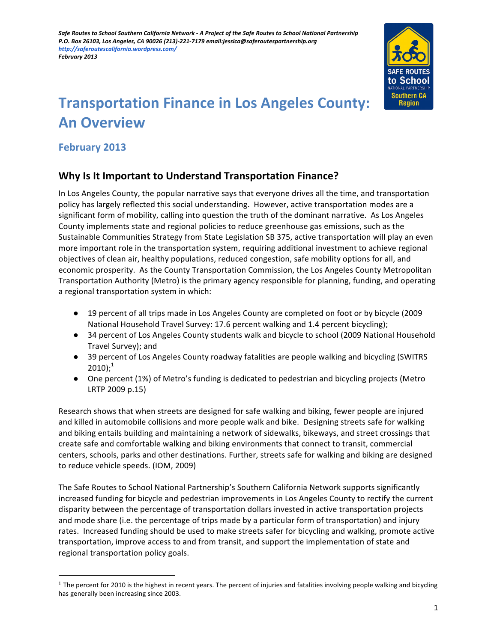

# **Transportation Finance in Los Angeles County: An Overview**

# **February 2013**

 

# **Why Is It Important to Understand Transportation Finance?**

In Los Angeles County, the popular narrative says that everyone drives all the time, and transportation policy has largely reflected this social understanding. However, active transportation modes are a significant form of mobility, calling into question the truth of the dominant narrative. As Los Angeles County implements state and regional policies to reduce greenhouse gas emissions, such as the Sustainable Communities Strategy from State Legislation SB 375, active transportation will play an even more important role in the transportation system, requiring additional investment to achieve regional objectives of clean air, healthy populations, reduced congestion, safe mobility options for all, and economic prosperity. As the County Transportation Commission, the Los Angeles County Metropolitan Transportation Authority (Metro) is the primary agency responsible for planning, funding, and operating a regional transportation system in which:

- 19 percent of all trips made in Los Angeles County are completed on foot or by bicycle (2009 National Household Travel Survey: 17.6 percent walking and 1.4 percent bicycling);
- 34 percent of Los Angeles County students walk and bicycle to school (2009 National Household Travel Survey); and
- 39 percent of Los Angeles County roadway fatalities are people walking and bicycling (SWITRS  $2010$ ;<sup>1</sup>
- One percent (1%) of Metro's funding is dedicated to pedestrian and bicycling projects (Metro LRTP 2009 p.15)

Research shows that when streets are designed for safe walking and biking, fewer people are injured and killed in automobile collisions and more people walk and bike. Designing streets safe for walking and biking entails building and maintaining a network of sidewalks, bikeways, and street crossings that create safe and comfortable walking and biking environments that connect to transit, commercial centers, schools, parks and other destinations. Further, streets safe for walking and biking are designed to reduce vehicle speeds. (IOM, 2009)

The Safe Routes to School National Partnership's Southern California Network supports significantly increased funding for bicycle and pedestrian improvements in Los Angeles County to rectify the current disparity between the percentage of transportation dollars invested in active transportation projects and mode share (i.e. the percentage of trips made by a particular form of transportation) and injury rates. Increased funding should be used to make streets safer for bicycling and walking, promote active transportation, improve access to and from transit, and support the implementation of state and regional transportation policy goals.

 $1$  The percent for 2010 is the highest in recent years. The percent of injuries and fatalities involving people walking and bicycling has generally been increasing since 2003.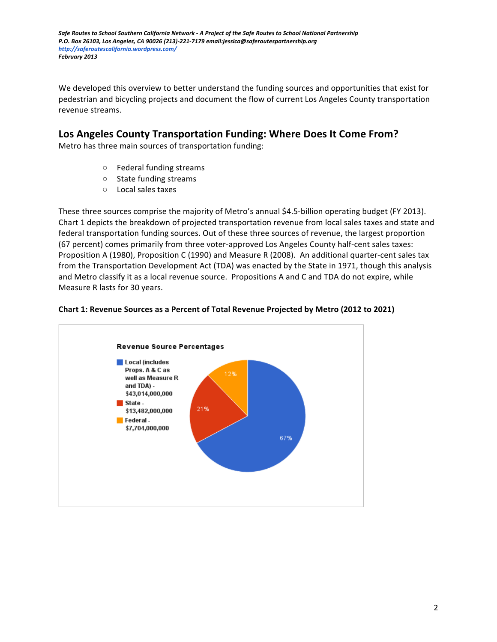We developed this overview to better understand the funding sources and opportunities that exist for pedestrian and bicycling projects and document the flow of current Los Angeles County transportation revenue streams.

# Los Angeles County Transportation Funding: Where Does It Come From?

Metro has three main sources of transportation funding:

- $\circ$  Federal funding streams
- State funding streams
- Local sales taxes

These three sources comprise the majority of Metro's annual \$4.5-billion operating budget (FY 2013). Chart 1 depicts the breakdown of projected transportation revenue from local sales taxes and state and federal transportation funding sources. Out of these three sources of revenue, the largest proportion (67 percent) comes primarily from three voter-approved Los Angeles County half-cent sales taxes: Proposition A (1980), Proposition C (1990) and Measure R (2008). An additional quarter-cent sales tax from the Transportation Development Act (TDA) was enacted by the State in 1971, though this analysis and Metro classify it as a local revenue source. Propositions A and C and TDA do not expire, while Measure R lasts for 30 years.



### **Chart 1: Revenue Sources as a Percent of Total Revenue Projected by Metro (2012 to 2021)**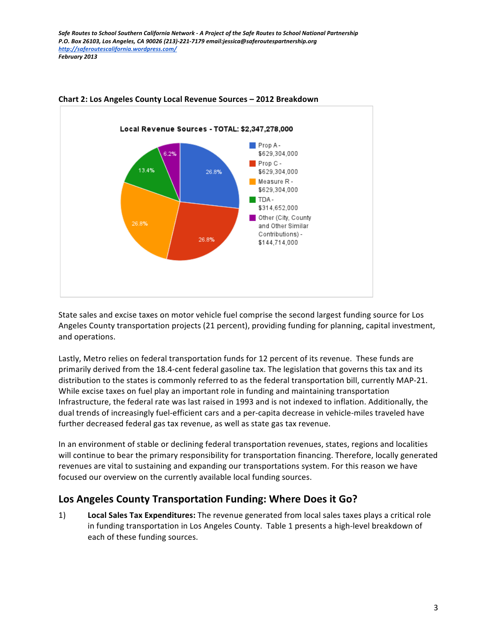

#### **Chart 2: Los Angeles County Local Revenue Sources - 2012 Breakdown**

State sales and excise taxes on motor vehicle fuel comprise the second largest funding source for Los Angeles County transportation projects (21 percent), providing funding for planning, capital investment, and operations.

Lastly, Metro relies on federal transportation funds for 12 percent of its revenue. These funds are primarily derived from the 18.4-cent federal gasoline tax. The legislation that governs this tax and its distribution to the states is commonly referred to as the federal transportation bill, currently MAP-21. While excise taxes on fuel play an important role in funding and maintaining transportation Infrastructure, the federal rate was last raised in 1993 and is not indexed to inflation. Additionally, the dual trends of increasingly fuel-efficient cars and a per-capita decrease in vehicle-miles traveled have further decreased federal gas tax revenue, as well as state gas tax revenue.

In an environment of stable or declining federal transportation revenues, states, regions and localities will continue to bear the primary responsibility for transportation financing. Therefore, locally generated revenues are vital to sustaining and expanding our transportations system. For this reason we have focused our overview on the currently available local funding sources.

## Los Angeles County Transportation Funding: Where Does it Go?

1) **Local Sales Tax Expenditures:** The revenue generated from local sales taxes plays a critical role in funding transportation in Los Angeles County. Table 1 presents a high-level breakdown of each of these funding sources.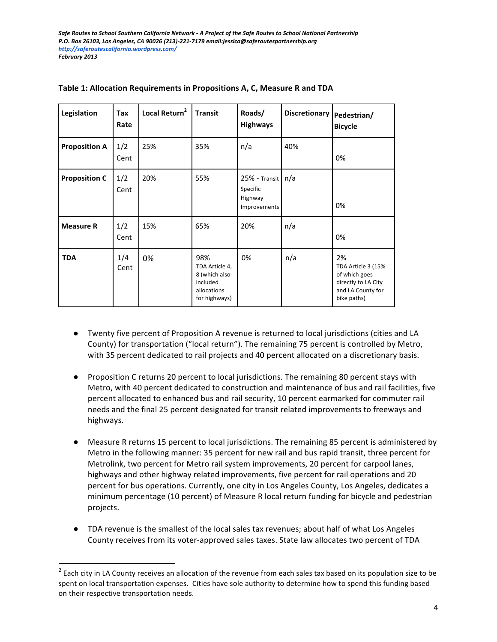| Legislation          | Tax<br>Rate | Local Return <sup>2</sup> | <b>Transit</b>                                                                     | Roads/<br><b>Highways</b>                                    | Discretionary | Pedestrian/<br><b>Bicycle</b>                                                                        |
|----------------------|-------------|---------------------------|------------------------------------------------------------------------------------|--------------------------------------------------------------|---------------|------------------------------------------------------------------------------------------------------|
| <b>Proposition A</b> | 1/2<br>Cent | 25%                       | 35%                                                                                | n/a                                                          | 40%           | 0%                                                                                                   |
| <b>Proposition C</b> | 1/2<br>Cent | 20%                       | 55%                                                                                | $25%$ - Transit   n/a<br>Specific<br>Highway<br>Improvements |               | 0%                                                                                                   |
| <b>Measure R</b>     | 1/2<br>Cent | 15%                       | 65%                                                                                | 20%                                                          | n/a           | 0%                                                                                                   |
| <b>TDA</b>           | 1/4<br>Cent | 0%                        | 98%<br>TDA Article 4,<br>8 (which also<br>included<br>allocations<br>for highways) | 0%                                                           | n/a           | 2%<br>TDA Article 3 (15%<br>of which goes<br>directly to LA City<br>and LA County for<br>bike paths) |

| Table 1: Allocation Requirements in Propositions A, C, Measure R and TDA |  |  |
|--------------------------------------------------------------------------|--|--|
|                                                                          |  |  |

- Twenty five percent of Proposition A revenue is returned to local jurisdictions (cities and LA County) for transportation ("local return"). The remaining 75 percent is controlled by Metro, with 35 percent dedicated to rail projects and 40 percent allocated on a discretionary basis.
- Proposition C returns 20 percent to local jurisdictions. The remaining 80 percent stays with Metro, with 40 percent dedicated to construction and maintenance of bus and rail facilities, five percent allocated to enhanced bus and rail security, 10 percent earmarked for commuter rail needs and the final 25 percent designated for transit related improvements to freeways and highways.
- Measure R returns 15 percent to local jurisdictions. The remaining 85 percent is administered by Metro in the following manner: 35 percent for new rail and bus rapid transit, three percent for Metrolink, two percent for Metro rail system improvements, 20 percent for carpool lanes, highways and other highway related improvements, five percent for rail operations and 20 percent for bus operations. Currently, one city in Los Angeles County, Los Angeles, dedicates a minimum percentage (10 percent) of Measure R local return funding for bicycle and pedestrian projects.
- TDA revenue is the smallest of the local sales tax revenues; about half of what Los Angeles County receives from its voter-approved sales taxes. State law allocates two percent of TDA

 

 $^2$  Each city in LA County receives an allocation of the revenue from each sales tax based on its population size to be spent on local transportation expenses. Cities have sole authority to determine how to spend this funding based on their respective transportation needs.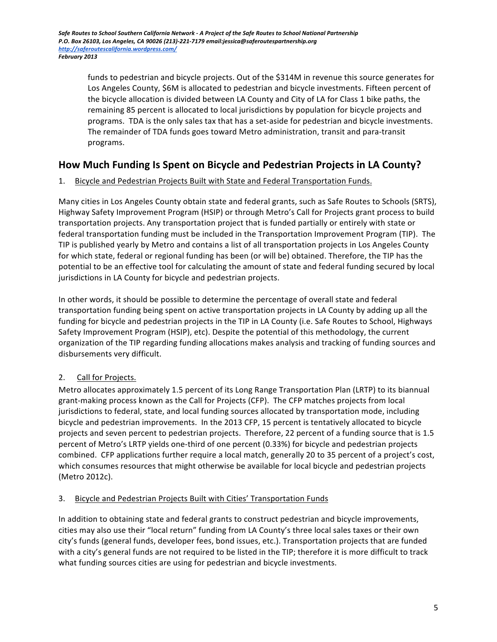funds to pedestrian and bicycle projects. Out of the \$314M in revenue this source generates for Los Angeles County, \$6M is allocated to pedestrian and bicycle investments. Fifteen percent of the bicycle allocation is divided between LA County and City of LA for Class 1 bike paths, the remaining 85 percent is allocated to local jurisdictions by population for bicycle projects and programs. TDA is the only sales tax that has a set-aside for pedestrian and bicycle investments. The remainder of TDA funds goes toward Metro administration, transit and para-transit programs.

# How Much Funding Is Spent on Bicycle and Pedestrian Projects in LA County?

## 1. Bicycle and Pedestrian Projects Built with State and Federal Transportation Funds.

Many cities in Los Angeles County obtain state and federal grants, such as Safe Routes to Schools (SRTS), Highway Safety Improvement Program (HSIP) or through Metro's Call for Projects grant process to build transportation projects. Any transportation project that is funded partially or entirely with state or federal transportation funding must be included in the Transportation Improvement Program (TIP). The TIP is published yearly by Metro and contains a list of all transportation projects in Los Angeles County for which state, federal or regional funding has been (or will be) obtained. Therefore, the TIP has the potential to be an effective tool for calculating the amount of state and federal funding secured by local jurisdictions in LA County for bicycle and pedestrian projects.

In other words, it should be possible to determine the percentage of overall state and federal transportation funding being spent on active transportation projects in LA County by adding up all the funding for bicycle and pedestrian projects in the TIP in LA County (i.e. Safe Routes to School, Highways Safety Improvement Program (HSIP), etc). Despite the potential of this methodology, the current organization of the TIP regarding funding allocations makes analysis and tracking of funding sources and disbursements very difficult.

## 2. Call for Projects.

Metro allocates approximately 1.5 percent of its Long Range Transportation Plan (LRTP) to its biannual grant-making process known as the Call for Projects (CFP). The CFP matches projects from local jurisdictions to federal, state, and local funding sources allocated by transportation mode, including bicycle and pedestrian improvements. In the 2013 CFP, 15 percent is tentatively allocated to bicycle projects and seven percent to pedestrian projects. Therefore, 22 percent of a funding source that is 1.5 percent of Metro's LRTP yields one-third of one percent (0.33%) for bicycle and pedestrian projects combined. CFP applications further require a local match, generally 20 to 35 percent of a project's cost, which consumes resources that might otherwise be available for local bicycle and pedestrian projects (Metro 2012c).

## 3. Bicycle and Pedestrian Projects Built with Cities' Transportation Funds

In addition to obtaining state and federal grants to construct pedestrian and bicycle improvements, cities may also use their "local return" funding from LA County's three local sales taxes or their own city's funds (general funds, developer fees, bond issues, etc.). Transportation projects that are funded with a city's general funds are not required to be listed in the TIP; therefore it is more difficult to track what funding sources cities are using for pedestrian and bicycle investments.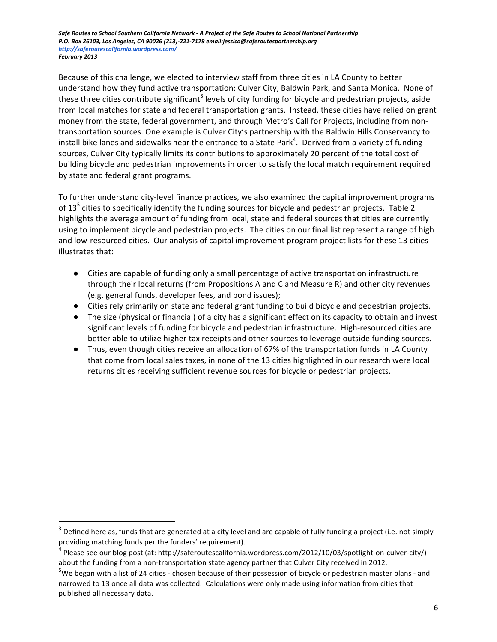Because of this challenge, we elected to interview staff from three cities in LA County to better understand how they fund active transportation: Culver City, Baldwin Park, and Santa Monica. None of these three cities contribute significant<sup>3</sup> levels of city funding for bicycle and pedestrian projects, aside from local matches for state and federal transportation grants. Instead, these cities have relied on grant money from the state, federal government, and through Metro's Call for Projects, including from nontransportation sources. One example is Culver City's partnership with the Baldwin Hills Conservancy to install bike lanes and sidewalks near the entrance to a State Park<sup>4</sup>. Derived from a variety of funding sources, Culver City typically limits its contributions to approximately 20 percent of the total cost of building bicycle and pedestrian improvements in order to satisfy the local match requirement required by state and federal grant programs.

To further understand-city-level finance practices, we also examined the capital improvement programs of 13<sup>5</sup> cities to specifically identify the funding sources for bicycle and pedestrian projects. Table 2 highlights the average amount of funding from local, state and federal sources that cities are currently using to implement bicycle and pedestrian projects. The cities on our final list represent a range of high and low-resourced cities. Our analysis of capital improvement program project lists for these 13 cities illustrates that:

- Cities are capable of funding only a small percentage of active transportation infrastructure through their local returns (from Propositions A and C and Measure R) and other city revenues (e.g. general funds, developer fees, and bond issues);
- Cities rely primarily on state and federal grant funding to build bicycle and pedestrian projects.
- The size (physical or financial) of a city has a significant effect on its capacity to obtain and invest significant levels of funding for bicycle and pedestrian infrastructure. High-resourced cities are better able to utilize higher tax receipts and other sources to leverage outside funding sources.
- Thus, even though cities receive an allocation of 67% of the transportation funds in LA County that come from local sales taxes, in none of the 13 cities highlighted in our research were local returns cities receiving sufficient revenue sources for bicycle or pedestrian projects.

 

 $^3$  Defined here as, funds that are generated at a city level and are capable of fully funding a project (i.e. not simply providing matching funds per the funders' requirement).

<sup>&</sup>lt;sup>4</sup> Please see our blog post (at: http://saferoutescalifornia.wordpress.com/2012/10/03/spotlight-on-culver-city/) about the funding from a non-transportation state agency partner that Culver City received in 2012.

 $5$ We began with a list of 24 cities - chosen because of their possession of bicycle or pedestrian master plans - and narrowed to 13 once all data was collected. Calculations were only made using information from cities that published all necessary data.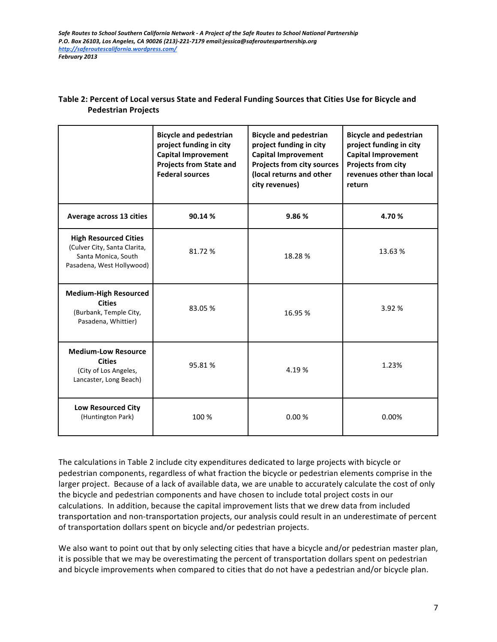|                                                                                                                  | <b>Bicycle and pedestrian</b><br>project funding in city<br><b>Capital Improvement</b><br><b>Projects from State and</b><br><b>Federal sources</b> | <b>Bicycle and pedestrian</b><br>project funding in city<br><b>Capital Improvement</b><br>Projects from city sources<br>(local returns and other<br>city revenues) | <b>Bicycle and pedestrian</b><br>project funding in city<br><b>Capital Improvement</b><br>Projects from city<br>revenues other than local<br>return |
|------------------------------------------------------------------------------------------------------------------|----------------------------------------------------------------------------------------------------------------------------------------------------|--------------------------------------------------------------------------------------------------------------------------------------------------------------------|-----------------------------------------------------------------------------------------------------------------------------------------------------|
| Average across 13 cities                                                                                         | 90.14%                                                                                                                                             | 9.86%                                                                                                                                                              | 4.70%                                                                                                                                               |
| <b>High Resourced Cities</b><br>(Culver City, Santa Clarita,<br>Santa Monica, South<br>Pasadena, West Hollywood) | 81.72%                                                                                                                                             | 18.28%                                                                                                                                                             | 13.63%                                                                                                                                              |
| <b>Medium-High Resourced</b><br><b>Cities</b><br>(Burbank, Temple City,<br>Pasadena, Whittier)                   | 83.05%                                                                                                                                             | 16.95%                                                                                                                                                             | 3.92 %                                                                                                                                              |
| <b>Medium-Low Resource</b><br><b>Cities</b><br>(City of Los Angeles,<br>Lancaster, Long Beach)                   | 95.81%                                                                                                                                             | 4.19 %                                                                                                                                                             | 1.23%                                                                                                                                               |
| <b>Low Resourced City</b><br>(Huntington Park)                                                                   | 100 %                                                                                                                                              | 0.00%                                                                                                                                                              | 0.00%                                                                                                                                               |

#### Table 2: Percent of Local versus State and Federal Funding Sources that Cities Use for Bicycle and **Pedestrian Projects**

The calculations in Table 2 include city expenditures dedicated to large projects with bicycle or pedestrian components, regardless of what fraction the bicycle or pedestrian elements comprise in the larger project. Because of a lack of available data, we are unable to accurately calculate the cost of only the bicycle and pedestrian components and have chosen to include total project costs in our calculations. In addition, because the capital improvement lists that we drew data from included transportation and non-transportation projects, our analysis could result in an underestimate of percent of transportation dollars spent on bicycle and/or pedestrian projects.

We also want to point out that by only selecting cities that have a bicycle and/or pedestrian master plan, it is possible that we may be overestimating the percent of transportation dollars spent on pedestrian and bicycle improvements when compared to cities that do not have a pedestrian and/or bicycle plan.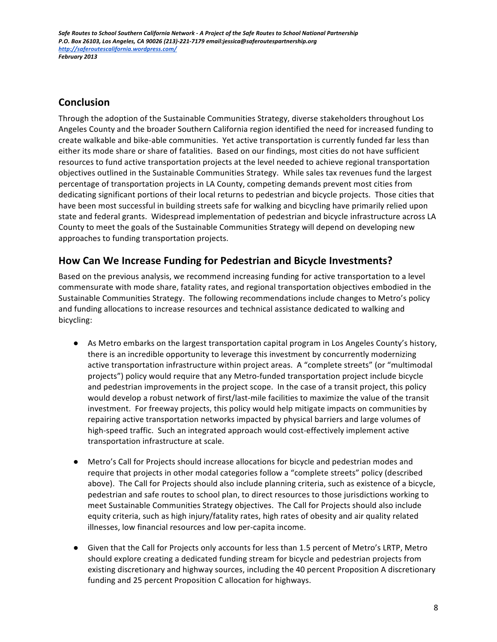# **Conclusion**

Through the adoption of the Sustainable Communities Strategy, diverse stakeholders throughout Los Angeles County and the broader Southern California region identified the need for increased funding to create walkable and bike-able communities. Yet active transportation is currently funded far less than either its mode share or share of fatalities. Based on our findings, most cities do not have sufficient resources to fund active transportation projects at the level needed to achieve regional transportation objectives outlined in the Sustainable Communities Strategy. While sales tax revenues fund the largest percentage of transportation projects in LA County, competing demands prevent most cities from dedicating significant portions of their local returns to pedestrian and bicycle projects. Those cities that have been most successful in building streets safe for walking and bicycling have primarily relied upon state and federal grants. Widespread implementation of pedestrian and bicycle infrastructure across LA County to meet the goals of the Sustainable Communities Strategy will depend on developing new approaches to funding transportation projects.

# How Can We Increase Funding for Pedestrian and Bicycle Investments?

Based on the previous analysis, we recommend increasing funding for active transportation to a level commensurate with mode share, fatality rates, and regional transportation objectives embodied in the Sustainable Communities Strategy. The following recommendations include changes to Metro's policy and funding allocations to increase resources and technical assistance dedicated to walking and bicycling:

- As Metro embarks on the largest transportation capital program in Los Angeles County's history, there is an incredible opportunity to leverage this investment by concurrently modernizing active transportation infrastructure within project areas. A "complete streets" (or "multimodal projects") policy would require that any Metro-funded transportation project include bicycle and pedestrian improvements in the project scope. In the case of a transit project, this policy would develop a robust network of first/last-mile facilities to maximize the value of the transit investment. For freeway projects, this policy would help mitigate impacts on communities by repairing active transportation networks impacted by physical barriers and large volumes of high-speed traffic. Such an integrated approach would cost-effectively implement active transportation infrastructure at scale.
- Metro's Call for Projects should increase allocations for bicycle and pedestrian modes and require that projects in other modal categories follow a "complete streets" policy (described above). The Call for Projects should also include planning criteria, such as existence of a bicycle, pedestrian and safe routes to school plan, to direct resources to those jurisdictions working to meet Sustainable Communities Strategy objectives. The Call for Projects should also include equity criteria, such as high injury/fatality rates, high rates of obesity and air quality related illnesses, low financial resources and low per-capita income.
- Given that the Call for Projects only accounts for less than 1.5 percent of Metro's LRTP, Metro should explore creating a dedicated funding stream for bicycle and pedestrian projects from existing discretionary and highway sources, including the 40 percent Proposition A discretionary funding and 25 percent Proposition C allocation for highways.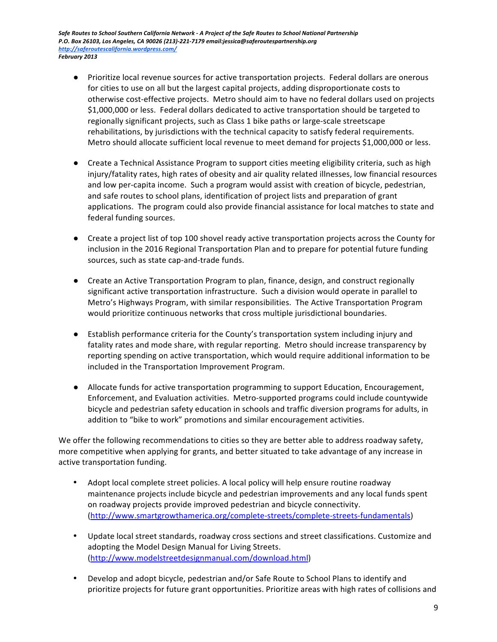- Prioritize local revenue sources for active transportation projects. Federal dollars are onerous for cities to use on all but the largest capital projects, adding disproportionate costs to otherwise cost-effective projects. Metro should aim to have no federal dollars used on projects \$1,000,000 or less. Federal dollars dedicated to active transportation should be targeted to regionally significant projects, such as Class 1 bike paths or large-scale streetscape rehabilitations, by jurisdictions with the technical capacity to satisfy federal requirements. Metro should allocate sufficient local revenue to meet demand for projects \$1,000,000 or less.
- Create a Technical Assistance Program to support cities meeting eligibility criteria, such as high injury/fatality rates, high rates of obesity and air quality related illnesses, low financial resources and low per-capita income. Such a program would assist with creation of bicycle, pedestrian, and safe routes to school plans, identification of project lists and preparation of grant applications. The program could also provide financial assistance for local matches to state and federal funding sources.
- Create a project list of top 100 shovel ready active transportation projects across the County for inclusion in the 2016 Regional Transportation Plan and to prepare for potential future funding sources, such as state cap-and-trade funds.
- Create an Active Transportation Program to plan, finance, design, and construct regionally significant active transportation infrastructure. Such a division would operate in parallel to Metro's Highways Program, with similar responsibilities. The Active Transportation Program would prioritize continuous networks that cross multiple jurisdictional boundaries.
- Establish performance criteria for the County's transportation system including injury and fatality rates and mode share, with regular reporting. Metro should increase transparency by reporting spending on active transportation, which would require additional information to be included in the Transportation Improvement Program.
- Allocate funds for active transportation programming to support Education, Encouragement, Enforcement, and Evaluation activities. Metro-supported programs could include countywide bicycle and pedestrian safety education in schools and traffic diversion programs for adults, in addition to "bike to work" promotions and similar encouragement activities.

We offer the following recommendations to cities so they are better able to address roadway safety, more competitive when applying for grants, and better situated to take advantage of any increase in active transportation funding.

- Adopt local complete street policies. A local policy will help ensure routine roadway maintenance projects include bicycle and pedestrian improvements and any local funds spent on roadway projects provide improved pedestrian and bicycle connectivity. (http://www.smartgrowthamerica.org/complete-streets/complete-streets-fundamentals)
- Update local street standards, roadway cross sections and street classifications. Customize and adopting the Model Design Manual for Living Streets. (http://www.modelstreetdesignmanual.com/download.html)
- Develop and adopt bicycle, pedestrian and/or Safe Route to School Plans to identify and prioritize projects for future grant opportunities. Prioritize areas with high rates of collisions and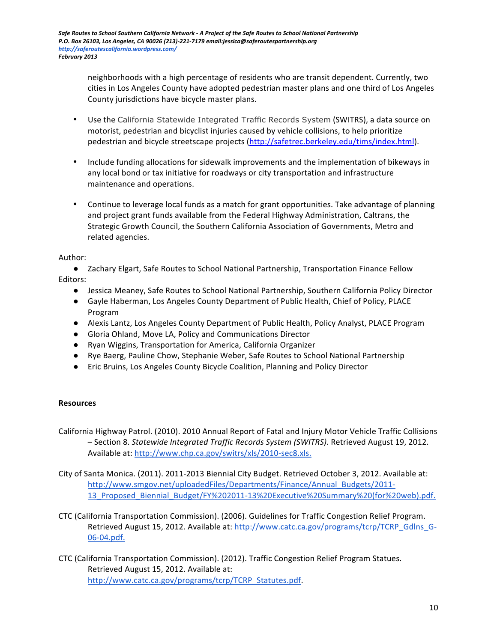neighborhoods with a high percentage of residents who are transit dependent. Currently, two cities in Los Angeles County have adopted pedestrian master plans and one third of Los Angeles County jurisdictions have bicycle master plans.

- Use the California Statewide Integrated Traffic Records System (SWITRS), a data source on motorist, pedestrian and bicyclist injuries caused by vehicle collisions, to help prioritize pedestrian and bicycle streetscape projects (http://safetrec.berkeley.edu/tims/index.html).
- Include funding allocations for sidewalk improvements and the implementation of bikeways in any local bond or tax initiative for roadways or city transportation and infrastructure maintenance and operations.
- Continue to leverage local funds as a match for grant opportunities. Take advantage of planning and project grant funds available from the Federal Highway Administration, Caltrans, the Strategic Growth Council, the Southern California Association of Governments, Metro and related agencies.

#### Author:

● Zachary Elgart, Safe Routes to School National Partnership, Transportation Finance Fellow Editors: 

- Jessica Meaney, Safe Routes to School National Partnership, Southern California Policy Director
- Gayle Haberman, Los Angeles County Department of Public Health, Chief of Policy, PLACE Program
- Alexis Lantz, Los Angeles County Department of Public Health, Policy Analyst, PLACE Program
- Gloria Ohland, Move LA, Policy and Communications Director
- Ryan Wiggins, Transportation for America, California Organizer
- Rye Baerg, Pauline Chow, Stephanie Weber, Safe Routes to School National Partnership
- Eric Bruins, Los Angeles County Bicycle Coalition, Planning and Policy Director

#### **Resources**

California Highway Patrol. (2010). 2010 Annual Report of Fatal and Injury Motor Vehicle Traffic Collisions - Section 8. Statewide Integrated Traffic Records System (SWITRS). Retrieved August 19, 2012. Available at: http://www.chp.ca.gov/switrs/xls/2010-sec8.xls.

City of Santa Monica. (2011). 2011-2013 Biennial City Budget. Retrieved October 3, 2012. Available at: http://www.smgov.net/uploadedFiles/Departments/Finance/Annual\_Budgets/2011- 13\_Proposed\_Biennial\_Budget/FY%202011-13%20Executive%20Summary%20(for%20web).pdf.

- CTC (California Transportation Commission). (2006). Guidelines for Traffic Congestion Relief Program. Retrieved August 15, 2012. Available at: http://www.catc.ca.gov/programs/tcrp/TCRP\_Gdlns\_G-06-04.pdf.
- CTC (California Transportation Commission). (2012). Traffic Congestion Relief Program Statues. Retrieved August 15, 2012. Available at: http://www.catc.ca.gov/programs/tcrp/TCRP\_Statutes.pdf.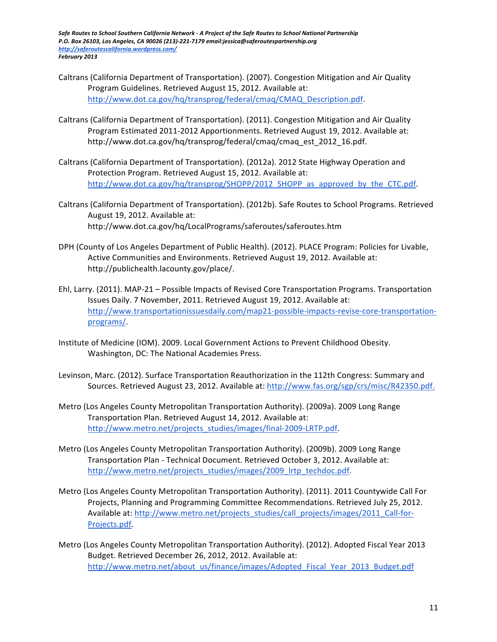- Caltrans (California Department of Transportation). (2007). Congestion Mitigation and Air Quality Program Guidelines. Retrieved August 15, 2012. Available at: http://www.dot.ca.gov/hq/transprog/federal/cmaq/CMAQ\_Description.pdf.
- Caltrans (California Department of Transportation). (2011). Congestion Mitigation and Air Quality Program Estimated 2011-2012 Apportionments. Retrieved August 19, 2012. Available at: http://www.dot.ca.gov/hq/transprog/federal/cmaq/cmaq\_est\_2012\_16.pdf.
- Caltrans (California Department of Transportation). (2012a). 2012 State Highway Operation and Protection Program. Retrieved August 15, 2012. Available at: http://www.dot.ca.gov/hq/transprog/SHOPP/2012\_SHOPP\_as\_approved\_by\_the\_CTC.pdf.
- Caltrans (California Department of Transportation). (2012b). Safe Routes to School Programs. Retrieved August 19, 2012. Available at: http://www.dot.ca.gov/hq/LocalPrograms/saferoutes/saferoutes.htm
- DPH (County of Los Angeles Department of Public Health). (2012). PLACE Program: Policies for Livable, Active Communities and Environments. Retrieved August 19, 2012. Available at: http://publichealth.lacounty.gov/place/.
- Ehl, Larry. (2011). MAP-21 Possible Impacts of Revised Core Transportation Programs. Transportation Issues Daily. 7 November, 2011. Retrieved August 19, 2012. Available at: http://www.transportationissuesdaily.com/map21-possible-impacts-revise-core-transportationprograms/.
- Institute of Medicine (IOM). 2009. Local Government Actions to Prevent Childhood Obesity. Washington, DC: The National Academies Press.
- Levinson, Marc. (2012). Surface Transportation Reauthorization in the 112th Congress: Summary and Sources. Retrieved August 23, 2012. Available at: http://www.fas.org/sgp/crs/misc/R42350.pdf.
- Metro (Los Angeles County Metropolitan Transportation Authority). (2009a). 2009 Long Range Transportation Plan. Retrieved August 14, 2012. Available at: http://www.metro.net/projects\_studies/images/final-2009-LRTP.pdf.
- Metro (Los Angeles County Metropolitan Transportation Authority). (2009b). 2009 Long Range Transportation Plan - Technical Document. Retrieved October 3, 2012. Available at: http://www.metro.net/projects\_studies/images/2009\_lrtp\_techdoc.pdf.
- Metro (Los Angeles County Metropolitan Transportation Authority). (2011). 2011 Countywide Call For Projects, Planning and Programming Committee Recommendations. Retrieved July 25, 2012. Available at: http://www.metro.net/projects\_studies/call\_projects/images/2011\_Call-for-Projects.pdf.
- Metro (Los Angeles County Metropolitan Transportation Authority). (2012). Adopted Fiscal Year 2013 Budget. Retrieved December 26, 2012, 2012. Available at: http://www.metro.net/about\_us/finance/images/Adopted\_Fiscal\_Year\_2013\_Budget.pdf